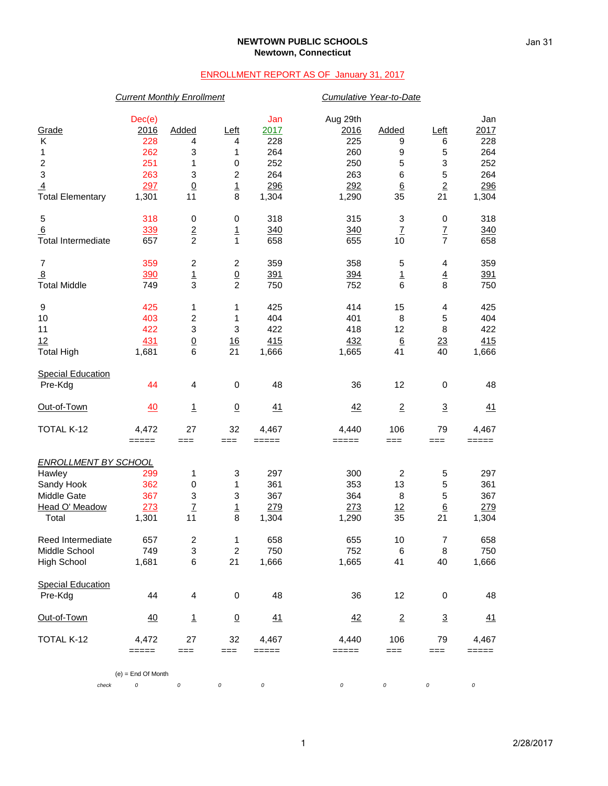#### **NEWTOWN PUBLIC SCHOOLS Newtown, Connecticut**

### ENROLLMENT REPORT AS OF January 31, 2017

# *Current Monthly Enrollment Cumulative Year-to-Date* Dec(e) Jan Aug 29th Jan Grade 2016 Added Left 2017 2016 Added Left 2017 K 228 4 4 228 225 9 6 228 1 262 3 1 264 260 9 5 264 2 251 1 0 252 250 5 3 252 3 263 3 2 264 263 6 5 264 <u>4</u> 297 0 1 298 292 6 2 296 Total Elementary 1,301 11 8 1,304 1,290 35 21 1,304 5 318 0 0 318 315 3 0 318 <u>6</u> 3<u>39</u> <u>2</u> 1 3<u>40</u> 3<u>40</u> <u>7</u> <u>7</u> 3<u>40</u>  $\frac{1}{2}$  Total Intermediate 657 2 1 658 655 10 7 658 7 359 2 2 359 358 5 4 359 8 390 1 0 391 394 1 4 391 Total Middle 749 3 2 750 752 6 8 750 9 425 1 1 425 414 15 4 425 10 403 2 1 404 401 8 5 404 11 422 3 3 422 418 12 8 422 <u>12 431 0 16 415 432 6 23 415</u> Total High 1,681 6 21 1,666 1,665 41 40 1,666 **Special Education**  Pre-Kdg 44 4 0 48 36 12 0 48 <u>Out-of-Town 40 1 0 41</u> <u>42</u> <u>2</u> <u>3</u> <u>41</u> TOTAL K-12 4,472 27 32 4,467 4,440 106 79 4,467 ===== === === ===== ===== === === ===== *ENROLLMENT BY SCHOOL* Hawley 299 1 3 297 300 2 5 297 Sandy Hook 362 0 1 361 353 13 5 361 Middle Gate 367 3 3 367 364 8 5 367 <u>Head O' Meadow 273 7 1 279 273 12 6 279</u><br>Total 1,301 11 8 1,304 1,290 35 21 1,304 Total 1,301 11 8 1,304 1,290 35 21 1,304 Reed Intermediate  $\begin{array}{cccc} 657 & 2 & 1 & 658 & 655 & 10 & 7 & 658 \\ 1000 & 7 & 7 & 3 & 2 & 750 & 752 & 6 & 8 & 750 \end{array}$ Middle School 749 3 2 750 752 6 8 750 High School 1,681 6 21 1,666 1,665 41 40 1,666 Special Education<br>Pre-Kdg Pre-Kdg 44 4 0 48 36 12 0 48 <u>Out-of-Town 40 1 0 41</u> <u>42</u> <u>2</u> <u>3</u> <u>41</u> TOTAL K-12 4,472 27 32 4,467 4,440 106 79 4,467 ===== === === ===== ===== === === ===== (e) = End Of Month

*check 0 0 0 0 0 0 0 0*

Jan 31